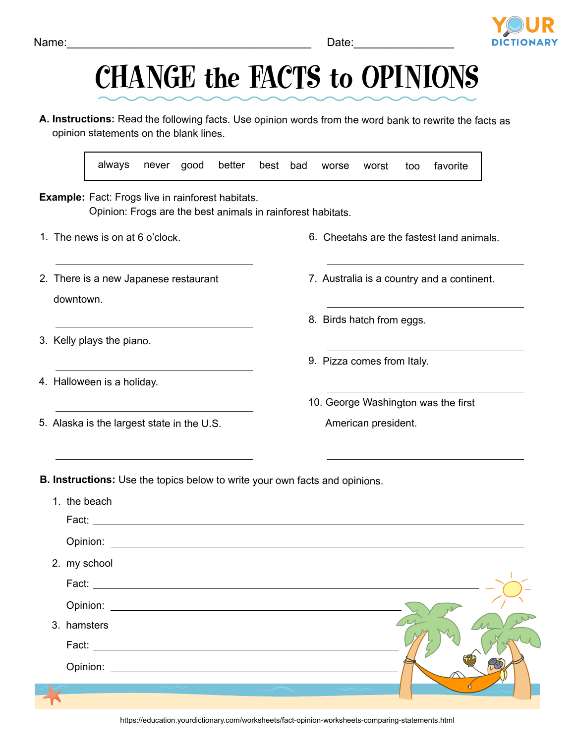## Name: where the contract of the contract of the contract of the contract of the contract of the contract of the contract of the contract of the contract of the contract of the contract of the contract of the contract of th

## CHANGE the FACTS to OPINIONS

**A. Instructions:** Read the following facts. Use opinion words from the word bank to rewrite the facts as opinion statements on the blank lines.

**Example:** Fact: Frogs live in rainforest habitats. Opinion: Frogs are the best animals in rainforest habitats. Fact: Opinion: **Opinion: Opinion: Opinion: Opinion: Opinion: Opinion: Opinion: Opinion: Opinion: Opinion: Opinion: Opinion: Opinion: Opinion: Opinion: Opinion: Opinion: Opinion: Opinion: Opi** Fact: **Fact**: **Fact**: **Fact**: **Fact**: **Fact**: **Fact**: **Fact**: **Fact**: **Fact**: **Fact**: **Fact**: **Fact**: **Fact**: **Fact**: **Fact**: **Fact**: **Fact**: **Fact**: **Fact**: **Fact**: **Fact**: **Fact**: **Fact**: **Fact**: **Fact**: **Fact**: **Fact**: Opinion: with the contract of the contract of the contract of the contract of the contract of the contract of the contract of the contract of the contract of the contract of the contract of the contract of the contract of Fact: always never good better best bad worse worst too favorite **B. Instructions:** Use the topics below to write your own facts and opinions. 1. The news is on at 6 o'clock. 2. There is a new Japanese restaurant downtown. 3. Kelly plays the piano. 1. the beach 2. my school 3. hamsters 6. Cheetahs are the fastest land animals. 7. Australia is a country and a continent. 8. Birds hatch from eggs. 9. Pizza comes from Italy. 10. George Washington was the first American president.

Opinion:

- 4. Halloween is a holiday.
- 5. Alaska is the largest state in the U.S.